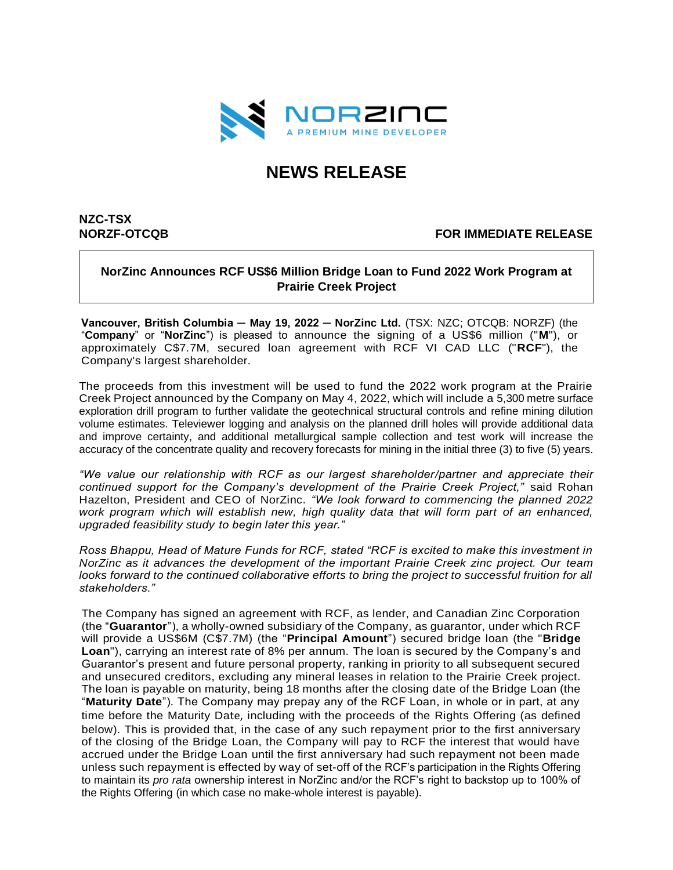

# **NEWS RELEASE**

# **NZC-TSX**

# **NORZF-OTCQB FOR IMMEDIATE RELEASE**

# **NorZinc Announces RCF US\$6 Million Bridge Loan to Fund 2022 Work Program at Prairie Creek Project**

**Vancouver, British Columbia ─ May 19, 2022 ─ NorZinc Ltd.** (TSX: NZC; OTCQB: NORZF) (the "**Company**" or "**NorZinc**") is pleased to announce the signing of a US\$6 million ("**M**"), or approximately C\$7.7M, secured loan agreement with RCF VI CAD LLC ("**RCF**"), the Company's largest shareholder.

The proceeds from this investment will be used to fund the 2022 work program at the Prairie Creek Project announced by the Company on May 4, 2022, which will include a 5,300 metre surface exploration drill program to further validate the geotechnical structural controls and refine mining dilution volume estimates. Televiewer logging and analysis on the planned drill holes will provide additional data and improve certainty, and additional metallurgical sample collection and test work will increase the accuracy of the concentrate quality and recovery forecasts for mining in the initial three (3) to five (5) years.

*"We value our relationship with RCF as our largest shareholder/partner and appreciate their continued support for the Company's development of the Prairie Creek Project,"* said Rohan Hazelton, President and CEO of NorZinc. *"We look forward to commencing the planned 2022 work program which will establish new, high quality data that will form part of an enhanced, upgraded feasibility study to begin later this year."*

*Ross Bhappu, Head of Mature Funds for RCF, stated "RCF is excited to make this investment in NorZinc as it advances the development of the important Prairie Creek zinc project. Our team looks forward to the continued collaborative efforts to bring the project to successful fruition for all stakeholders."*

The Company has signed an agreement with RCF, as lender, and Canadian Zinc Corporation (the "**Guarantor**"), a wholly-owned subsidiary of the Company, as guarantor, under which RCF will provide a US\$6M (C\$7.7M) (the "**Principal Amount**") secured bridge loan (the "**Bridge Loan**"), carrying an interest rate of 8% per annum. The loan is secured by the Company's and Guarantor's present and future personal property, ranking in priority to all subsequent secured and unsecured creditors, excluding any mineral leases in relation to the Prairie Creek project. The loan is payable on maturity, being 18 months after the closing date of the Bridge Loan (the "**Maturity Date**"). The Company may prepay any of the RCF Loan, in whole or in part, at any time before the Maturity Date, including with the proceeds of the Rights Offering (as defined below). This is provided that, in the case of any such repayment prior to the first anniversary of the closing of the Bridge Loan, the Company will pay to RCF the interest that would have accrued under the Bridge Loan until the first anniversary had such repayment not been made unless such repayment is effected by way of set-off of the RCF's participation in the Rights Offering to maintain its *pro rata* ownership interest in NorZinc and/or the RCF's right to backstop up to 100% of the Rights Offering (in which case no make-whole interest is payable).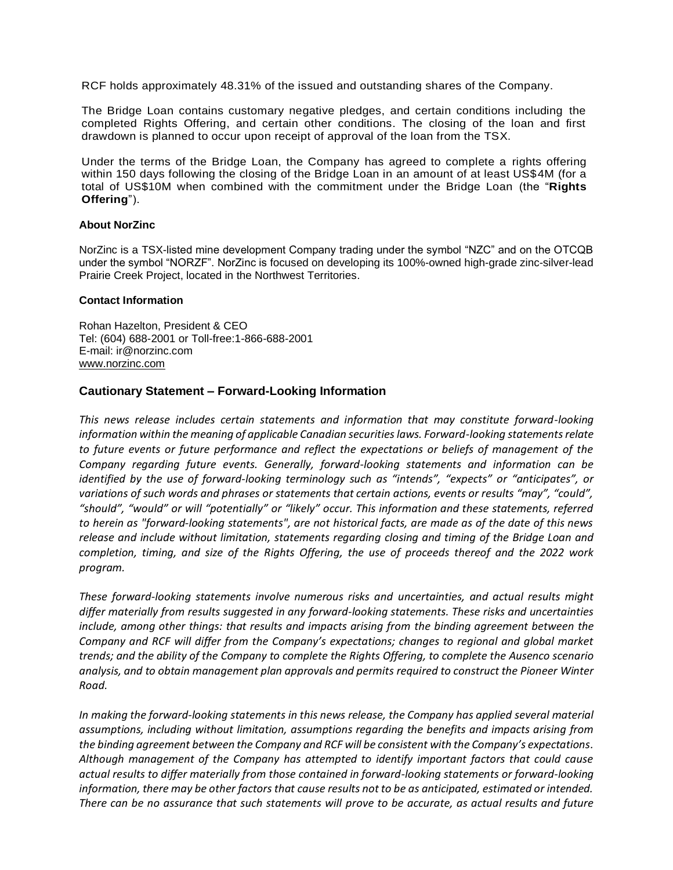RCF holds approximately 48.31% of the issued and outstanding shares of the Company.

The Bridge Loan contains customary negative pledges, and certain conditions including the completed Rights Offering, and certain other conditions. The closing of the loan and first drawdown is planned to occur upon receipt of approval of the loan from the TSX.

Under the terms of the Bridge Loan, the Company has agreed to complete a rights offering within 150 days following the closing of the Bridge Loan in an amount of at least US\$4M (for a total of US\$10M when combined with the commitment under the Bridge Loan (the "**Rights Offering**").

### **About NorZinc**

NorZinc is a TSX-listed mine development Company trading under the symbol "NZC" and on the OTCQB under the symbol "NORZF". NorZinc is focused on developing its 100%-owned high-grade zinc-silver-lead Prairie Creek Project, located in the Northwest Territories.

#### **Contact Information**

Rohan Hazelton, President & CEO Tel: (604) 688-2001 or Toll-free:1-866-688-2001 E-mail: ir@norzinc.com [www.norzinc.com](http://www.norzinc.com/)

# **Cautionary Statement – Forward-Looking Information**

*This news release includes certain statements and information that may constitute forward-looking information within the meaning of applicable Canadian securities laws. Forward-looking statements relate to future events or future performance and reflect the expectations or beliefs of management of the Company regarding future events. Generally, forward-looking statements and information can be identified by the use of forward-looking terminology such as "intends", "expects" or "anticipates", or variations of such words and phrases or statements that certain actions, events or results "may", "could", "should", "would" or will "potentially" or "likely" occur. This information and these statements, referred to herein as "forward‐looking statements", are not historical facts, are made as of the date of this news release and include without limitation, statements regarding closing and timing of the Bridge Loan and completion, timing, and size of the Rights Offering, the use of proceeds thereof and the 2022 work program.*

*These forward‐looking statements involve numerous risks and uncertainties, and actual results might differ materially from results suggested in any forward-looking statements. These risks and uncertainties include, among other things: that results and impacts arising from the binding agreement between the Company and RCF will differ from the Company's expectations; changes to regional and global market trends; and the ability of the Company to complete the Rights Offering, to complete the Ausenco scenario analysis, and to obtain management plan approvals and permits required to construct the Pioneer Winter Road.*

*In making the forward-looking statements in this news release, the Company has applied several material assumptions, including without limitation, assumptions regarding the benefits and impacts arising from the binding agreement between the Company and RCF will be consistent with the Company's expectations. Although management of the Company has attempted to identify important factors that could cause actual results to differ materially from those contained in forward-looking statements or forward-looking information, there may be other factors that cause results not to be as anticipated, estimated or intended. There can be no assurance that such statements will prove to be accurate, as actual results and future*